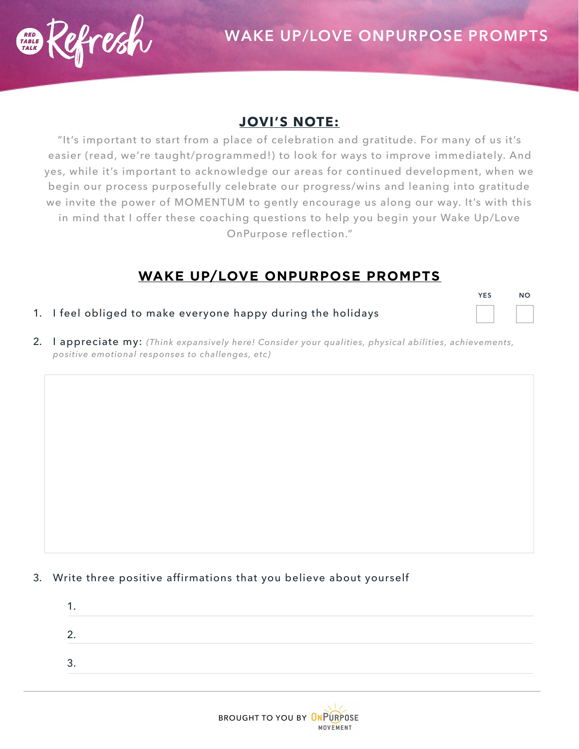

## **JOVI'S NOTE:**

"It's important to start from a place of celebration and gratitude. For many of us it's easier (read, we're taught/programmed!) to look for ways to improve immediately. And yes, while it's important to acknowledge our areas for continued development, when we begin our process purposefully celebrate our progress/wins and leaning into gratitude we invite the power of MOMENTUM to gently encourage us along our way. It's with this in mind that I offer these coaching questions to help you begin your Wake Up/Love OnPurpose reflection."

## **WAKE UP/LOVE ONPURPOSE PROMPTS**

- 1. I feel obliged to make everyone happy during the holidays **YES NO**
- 2. I appreciate my: *(Think expansively here! Consider your qualities, physical abilities, achievements, positive emotional responses to challenges, etc)*

## 3. Write three positive affirmations that you believe about yourself

| ◠<br><u>.</u> |  |  |  |
|---------------|--|--|--|
| ົ<br>، ب      |  |  |  |
|               |  |  |  |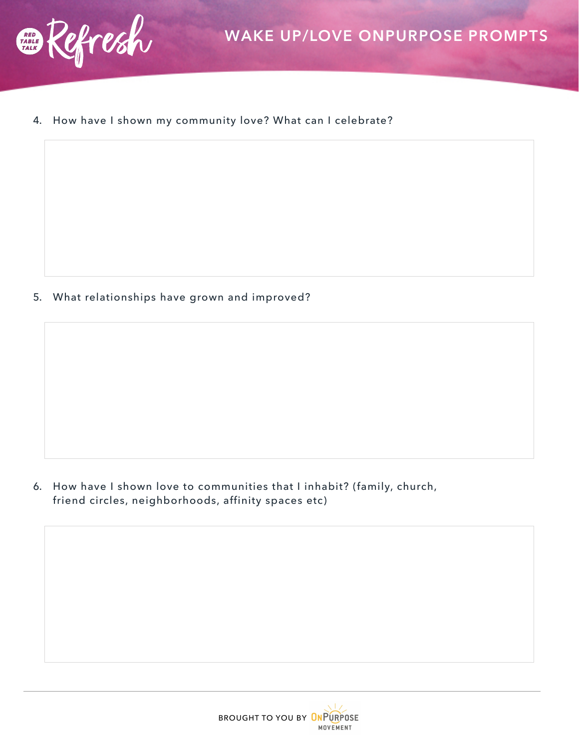

4. How have I shown my community love? What can I celebrate?

5. What relationships have grown and improved?

6. How have I shown love to communities that I inhabit? (family, church, friend circles, neighborhoods, affinity spaces etc)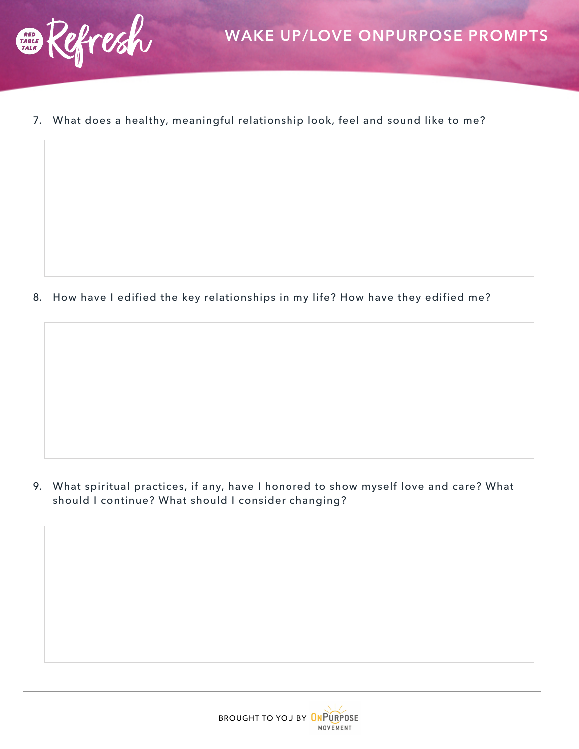

7. What does a healthy, meaningful relationship look, feel and sound like to me?

8. How have I edified the key relationships in my life? How have they edified me?

9. What spiritual practices, if any, have I honored to show myself love and care? What should I continue? What should I consider changing?